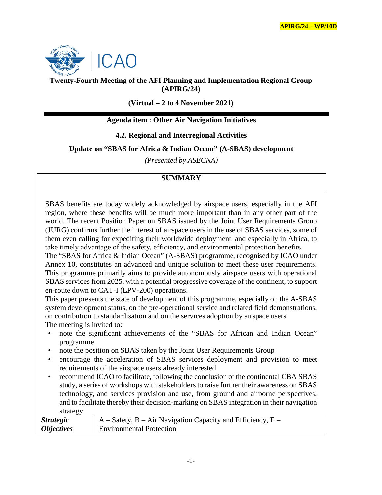

# **Twenty-Fourth Meeting of the AFI Planning and Implementation Regional Group (APIRG/24)**

**(Virtual – 2 to 4 November 2021)**

# **Agenda item : Other Air Navigation Initiatives**

## **4.2. Regional and Interregional Activities**

#### **Update on "SBAS for Africa & Indian Ocean" (A-SBAS) development**

*(Presented by ASECNA)*

# **SUMMARY**

SBAS benefits are today widely acknowledged by airspace users, especially in the AFI region, where these benefits will be much more important than in any other part of the world. The recent Position Paper on SBAS issued by the Joint User Requirements Group (JURG) confirms further the interest of airspace users in the use of SBAS services, some of them even calling for expediting their worldwide deployment, and especially in Africa, to take timely advantage of the safety, efficiency, and environmental protection benefits.

The "SBAS for Africa & Indian Ocean" (A-SBAS) programme, recognised by ICAO under Annex 10, constitutes an advanced and unique solution to meet these user requirements. This programme primarily aims to provide autonomously airspace users with operational SBAS services from 2025, with a potential progressive coverage of the continent, to support en-route down to CAT-I (LPV-200) operations.

This paper presents the state of development of this programme, especially on the A-SBAS system development status, on the pre-operational service and related field demonstrations, on contribution to standardisation and on the services adoption by airspace users. The meeting is invited to:

- note the significant achievements of the "SBAS for African and Indian Ocean" programme
- note the position on SBAS taken by the Joint User Requirements Group
- encourage the acceleration of SBAS services deployment and provision to meet requirements of the airspace users already interested
- recommend ICAO to facilitate, following the conclusion of the continental CBA SBAS study, a series of workshops with stakeholders to raise further their awareness on SBAS technology, and services provision and use, from ground and airborne perspectives, and to facilitate thereby their decision-marking on SBAS integration in their navigation strategy

| <i>Strategic</i>         | $A - S$ afety, B – Air Navigation Capacity and Efficiency, E – |
|--------------------------|----------------------------------------------------------------|
| <i><b>Objectives</b></i> | <b>Environmental Protection</b>                                |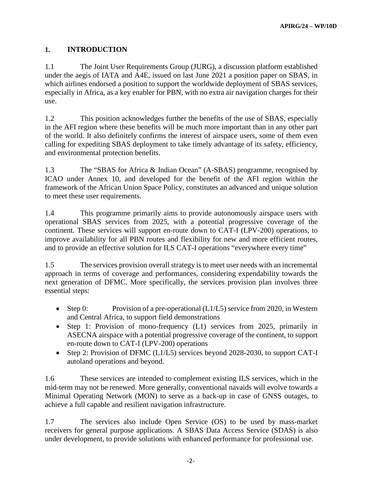# **1. INTRODUCTION**

1.1 The Joint User Requirements Group (JURG), a discussion platform established under the aegis of IATA and A4E, issued on last June 2021 a position paper on SBAS, in which airlines endorsed a position to support the worldwide deployment of SBAS services, especially in Africa, as a key enabler for PBN, with no extra air navigation charges for their use.

1.2 This position acknowledges further the benefits of the use of SBAS, especially in the AFI region where these benefits will be much more important than in any other part of the world. It also definitely confirms the interest of airspace users, some of them even calling for expediting SBAS deployment to take timely advantage of its safety, efficiency, and environmental protection benefits.

1.3 The "SBAS for Africa & Indian Ocean" (A-SBAS) programme, recognised by ICAO under Annex 10, and developed for the benefit of the AFI region within the framework of the African Union Space Policy, constitutes an advanced and unique solution to meet these user requirements.

1.4 This programme primarily aims to provide autonomously airspace users with operational SBAS services from 2025, with a potential progressive coverage of the continent. These services will support en-route down to CAT-I (LPV-200) operations, to improve availability for all PBN routes and flexibility for new and more efficient routes, and to provide an effective solution for ILS CAT-I operations "everywhere every time"

1.5 The services provision overall strategy is to meet user needs with an incremental approach in terms of coverage and performances, considering expendability towards the next generation of DFMC. More specifically, the services provision plan involves three essential steps:

- Step 0: Provision of a pre-operational (L1/L5) service from 2020, in Western and Central Africa, to support field demonstrations
- Step 1: Provision of mono-frequency (L1) services from 2025, primarily in ASECNA airspace with a potential progressive coverage of the continent, to support en-route down to CAT-I (LPV-200) operations
- Step 2: Provision of DFMC (L1/L5) services beyond 2028-2030, to support CAT-I autoland operations and beyond.

1.6 These services are intended to complement existing ILS services, which in the mid-term may not be renewed. More generally, conventional navaids will evolve towards a Minimal Operating Network (MON) to serve as a back-up in case of GNSS outages, to achieve a full capable and resilient navigation infrastructure.

1.7 The services also include Open Service (OS) to be used by mass-market receivers for general purpose applications. A SBAS Data Access Service (SDAS) is also under development, to provide solutions with enhanced performance for professional use.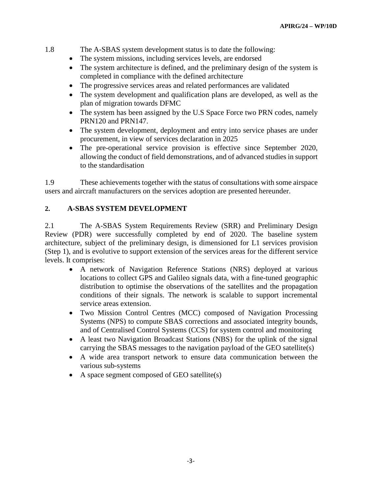#### 1.8 The A-SBAS system development status is to date the following:

- The system missions, including services levels, are endorsed
- The system architecture is defined, and the preliminary design of the system is completed in compliance with the defined architecture
- The progressive services areas and related performances are validated
- The system development and qualification plans are developed, as well as the plan of migration towards DFMC
- The system has been assigned by the U.S Space Force two PRN codes, namely PRN120 and PRN147.
- The system development, deployment and entry into service phases are under procurement, in view of services declaration in 2025
- The pre-operational service provision is effective since September 2020, allowing the conduct of field demonstrations, and of advanced studies in support to the standardisation

1.9 These achievements together with the status of consultations with some airspace users and aircraft manufacturers on the services adoption are presented hereunder.

#### **2. A-SBAS SYSTEM DEVELOPMENT**

2.1 The A-SBAS System Requirements Review (SRR) and Preliminary Design Review (PDR) were successfully completed by end of 2020. The baseline system architecture, subject of the preliminary design, is dimensioned for L1 services provision (Step 1), and is evolutive to support extension of the services areas for the different service levels. It comprises:

- A network of Navigation Reference Stations (NRS) deployed at various locations to collect GPS and Galileo signals data, with a fine-tuned geographic distribution to optimise the observations of the satellites and the propagation conditions of their signals. The network is scalable to support incremental service areas extension.
- Two Mission Control Centres (MCC) composed of Navigation Processing Systems (NPS) to compute SBAS corrections and associated integrity bounds, and of Centralised Control Systems (CCS) for system control and monitoring
- A least two Navigation Broadcast Stations (NBS) for the uplink of the signal carrying the SBAS messages to the navigation payload of the GEO satellite(s)
- A wide area transport network to ensure data communication between the various sub-systems
- A space segment composed of GEO satellite(s)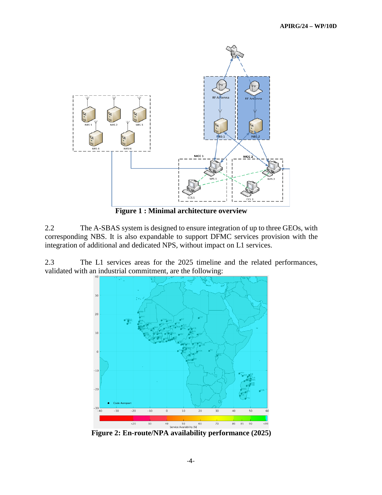

**Figure 1 : Minimal architecture overview**

2.2 The A-SBAS system is designed to ensure integration of up to three GEOs, with corresponding NBS. It is also expandable to support DFMC services provision with the integration of additional and dedicated NPS, without impact on L1 services.

2.3 The L1 services areas for the 2025 timeline and the related performances, validated with an industrial commitment, are the following:



**Figure 2: En-route/NPA availability performance (2025)**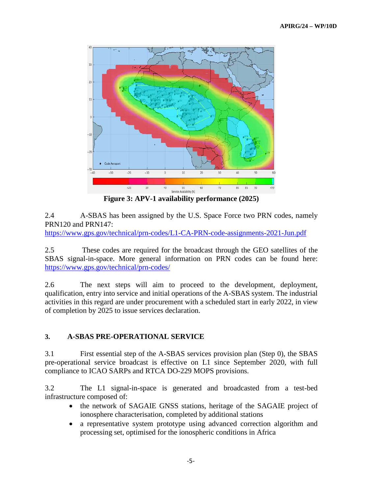

**Figure 3: APV-1 availability performance (2025)** 

2.4 A-SBAS has been assigned by the U.S. Space Force two PRN codes, namely PRN120 and PRN147:

<https://www.gps.gov/technical/prn-codes/L1-CA-PRN-code-assignments-2021-Jun.pdf>

2.5 These codes are required for the broadcast through the GEO satellites of the SBAS signal-in-space. More general information on PRN codes can be found here: <https://www.gps.gov/technical/prn-codes/>

2.6 The next steps will aim to proceed to the development, deployment, qualification, entry into service and initial operations of the A-SBAS system. The industrial activities in this regard are under procurement with a scheduled start in early 2022, in view of completion by 2025 to issue services declaration.

## **3. A-SBAS PRE-OPERATIONAL SERVICE**

3.1 First essential step of the A-SBAS services provision plan (Step 0), the SBAS pre-operational service broadcast is effective on L1 since September 2020, with full compliance to ICAO SARPs and RTCA DO-229 MOPS provisions.

3.2 The L1 signal-in-space is generated and broadcasted from a test-bed infrastructure composed of:

- the network of SAGAIE GNSS stations, heritage of the SAGAIE project of ionosphere characterisation, completed by additional stations
- a representative system prototype using advanced correction algorithm and processing set, optimised for the ionospheric conditions in Africa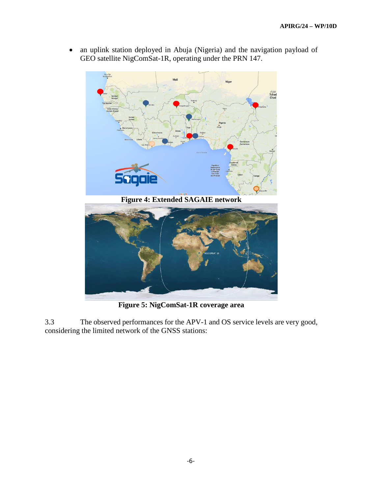• an uplink station deployed in Abuja (Nigeria) and the navigation payload of GEO satellite NigComSat-1R, operating under the PRN 147.



**Figure 4: Extended SAGAIE network**



**Figure 5: NigComSat-1R coverage area**

3.3 The observed performances for the APV-1 and OS service levels are very good, considering the limited network of the GNSS stations: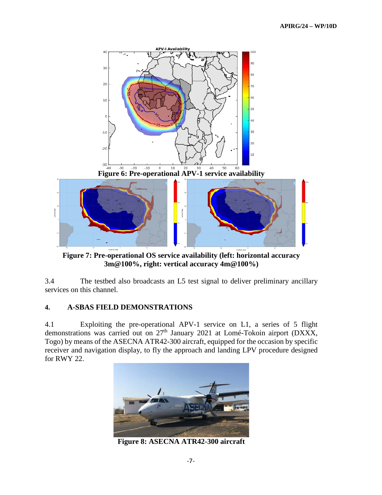

**Figure 7: Pre-operational OS service availability (left: horizontal accuracy 3m@100%, right: vertical accuracy 4m@100%)**

3.4 The testbed also broadcasts an L5 test signal to deliver preliminary ancillary services on this channel.

#### **4. A-SBAS FIELD DEMONSTRATIONS**

4.1 Exploiting the pre-operational APV-1 service on L1, a series of 5 flight demonstrations was carried out on 27<sup>th</sup> January 2021 at Lomé-Tokoin airport (DXXX, Togo) by means of the ASECNA ATR42-300 aircraft, equipped for the occasion by specific receiver and navigation display, to fly the approach and landing LPV procedure designed for RWY 22.



**Figure 8: ASECNA ATR42-300 aircraft**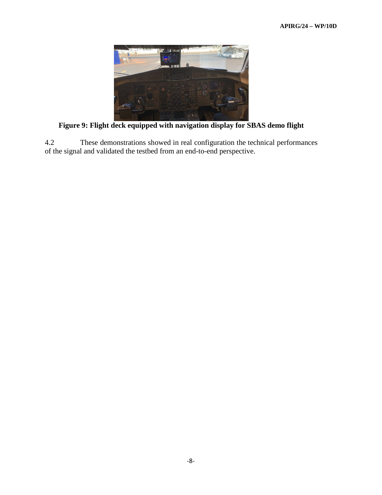

**Figure 9: Flight deck equipped with navigation display for SBAS demo flight**

4.2 These demonstrations showed in real configuration the technical performances of the signal and validated the testbed from an end-to-end perspective.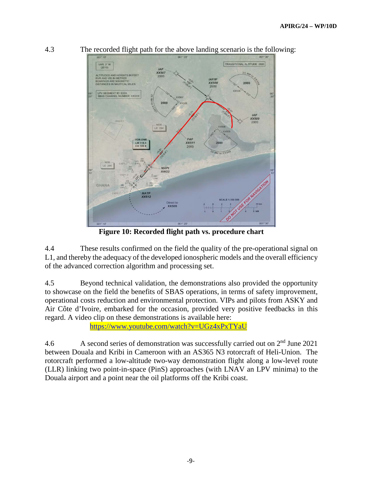

4.3 The recorded flight path for the above landing scenario is the following:

**Figure 10: Recorded flight path vs. procedure chart**

4.4 These results confirmed on the field the quality of the pre-operational signal on L1, and thereby the adequacy of the developed ionospheric models and the overall efficiency of the advanced correction algorithm and processing set.

4.5 Beyond technical validation, the demonstrations also provided the opportunity to showcase on the field the benefits of SBAS operations, in terms of safety improvement, operational costs reduction and environmental protection. VIPs and pilots from ASKY and Air Côte d'Ivoire, embarked for the occasion, provided very positive feedbacks in this regard. A video clip on these demonstrations is available here:

<https://www.youtube.com/watch?v=UGz4xPxTYaU>

4.6 A second series of demonstration was successfully carried out on 2nd June 2021 between Douala and Kribi in Cameroon with an AS365 N3 rotorcraft of Heli-Union. The rotorcraft performed a low-altitude two-way demonstration flight along a low-level route (LLR) linking two point-in-space (PinS) approaches (with LNAV an LPV minima) to the Douala airport and a point near the oil platforms off the Kribi coast.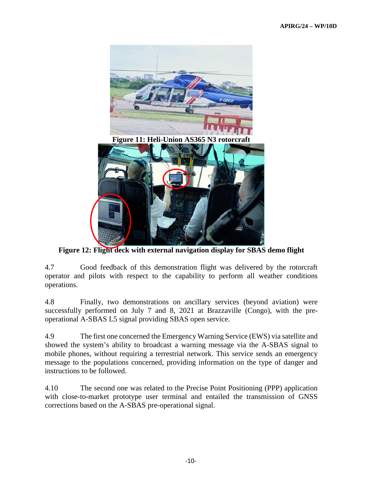

Figure 11: Heli-Union AS365 N3 rotorcra



**Figure 12: Flight deck with external navigation display for SBAS demo flight**

4.7 Good feedback of this demonstration flight was delivered by the rotorcraft operator and pilots with respect to the capability to perform all weather conditions operations.

4.8 Finally, two demonstrations on ancillary services (beyond aviation) were successfully performed on July 7 and 8, 2021 at Brazzaville (Congo), with the preoperational A-SBAS L5 signal providing SBAS open service.

4.9 The first one concerned the Emergency Warning Service (EWS) via satellite and showed the system's ability to broadcast a warning message via the A-SBAS signal to mobile phones, without requiring a terrestrial network. This service sends an emergency message to the populations concerned, providing information on the type of danger and instructions to be followed.

4.10 The second one was related to the Precise Point Positioning (PPP) application with close-to-market prototype user terminal and entailed the transmission of GNSS corrections based on the A-SBAS pre-operational signal.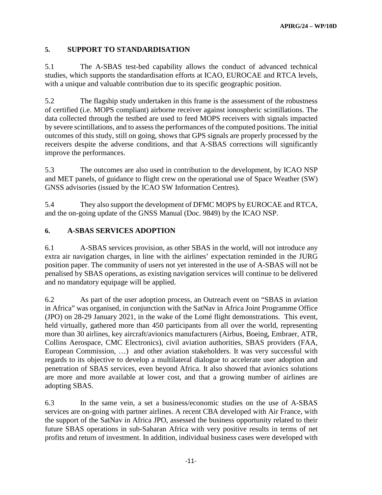## **5. SUPPORT TO STANDARDISATION**

5.1 The A-SBAS test-bed capability allows the conduct of advanced technical studies, which supports the standardisation efforts at ICAO, EUROCAE and RTCA levels, with a unique and valuable contribution due to its specific geographic position.

5.2 The flagship study undertaken in this frame is the assessment of the robustness of certified (i.e. MOPS compliant) airborne receiver against ionospheric scintillations. The data collected through the testbed are used to feed MOPS receivers with signals impacted by severe scintillations, and to assess the performances of the computed positions. The initial outcomes of this study, still on going, shows that GPS signals are properly processed by the receivers despite the adverse conditions, and that A-SBAS corrections will significantly improve the performances.

5.3 The outcomes are also used in contribution to the development, by ICAO NSP and MET panels, of guidance to flight crew on the operational use of Space Weather (SW) GNSS advisories (issued by the ICAO SW Information Centres).

5.4 They also support the development of DFMC MOPS by EUROCAE and RTCA, and the on-going update of the GNSS Manual (Doc. 9849) by the ICAO NSP.

#### **6. A-SBAS SERVICES ADOPTION**

6.1 A-SBAS services provision, as other SBAS in the world, will not introduce any extra air navigation charges, in line with the airlines' expectation reminded in the JURG position paper. The community of users not yet interested in the use of A-SBAS will not be penalised by SBAS operations, as existing navigation services will continue to be delivered and no mandatory equipage will be applied.

6.2 As part of the user adoption process, an Outreach event on "SBAS in aviation in Africa" was organised, in conjunction with the SatNav in Africa Joint Programme Office (JPO) on 28-29 January 2021, in the wake of the Lomé flight demonstrations. This event, held virtually, gathered more than 450 participants from all over the world, representing more than 30 airlines, key aircraft/avionics manufacturers (Airbus, Boeing, Embraer, ATR, Collins Aerospace, CMC Electronics), civil aviation authorities, SBAS providers (FAA, European Commission, …) and other aviation stakeholders. It was very successful with regards to its objective to develop a multilateral dialogue to accelerate user adoption and penetration of SBAS services, even beyond Africa. It also showed that avionics solutions are more and more available at lower cost, and that a growing number of airlines are adopting SBAS.

6.3 In the same vein, a set a business/economic studies on the use of A-SBAS services are on-going with partner airlines. A recent CBA developed with Air France, with the support of the SatNav in Africa JPO, assessed the business opportunity related to their future SBAS operations in sub-Saharan Africa with very positive results in terms of net profits and return of investment. In addition, individual business cases were developed with